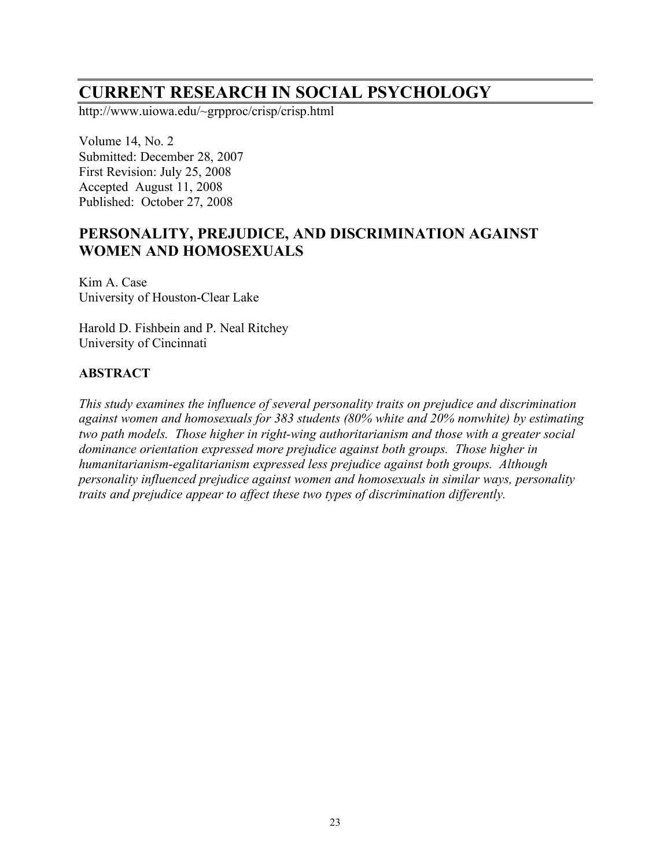# **CURRENT RESEARCH IN SOCIAL PSYCHOLOGY**

http://www.uiowa.edu/~grpproc/crisp/crisp.html

Volume 14, No. 2 Submitted: December 28, 2007 First Revision: July 25, 2008 Accepted August 11, 2008 Published: October 27, 2008

# **PERSONALITY, PREJUDICE, AND DISCRIMINATION AGAINST WOMEN AND HOMOSEXUALS**

Kim A. Case University of Houston-Clear Lake

Harold D. Fishbein and P. Neal Ritchey University of Cincinnati

### **ABSTRACT**

*This study examines the influence of several personality traits on prejudice and discrimination against women and homosexuals for 383 students (80% white and 20% nonwhite) by estimating two path models. Those higher in right-wing authoritarianism and those with a greater social dominance orientation expressed more prejudice against both groups. Those higher in humanitarianism-egalitarianism expressed less prejudice against both groups. Although personality influenced prejudice against women and homosexuals in similar ways, personality traits and prejudice appear to affect these two types of discrimination differently.*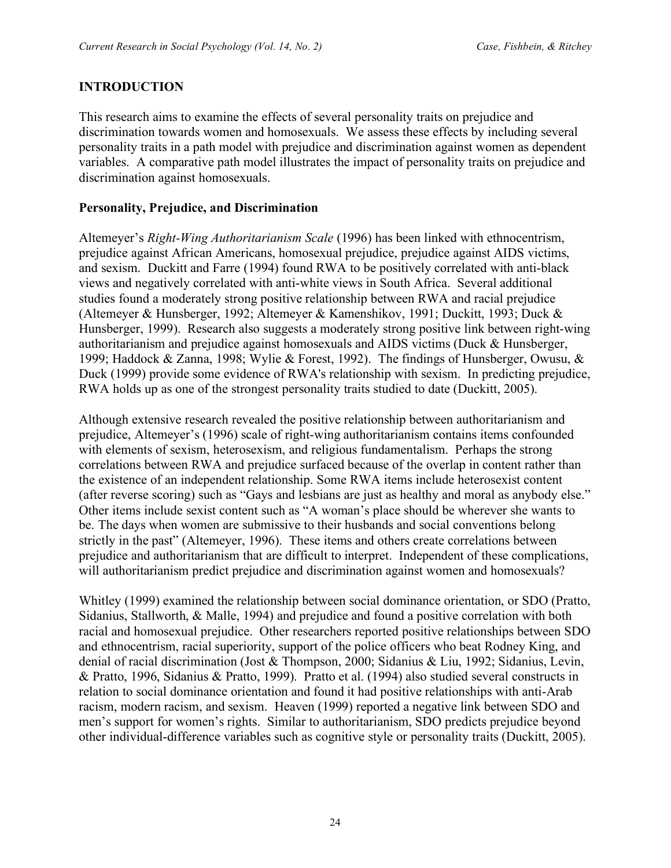### **INTRODUCTION**

This research aims to examine the effects of several personality traits on prejudice and discrimination towards women and homosexuals. We assess these effects by including several personality traits in a path model with prejudice and discrimination against women as dependent variables. A comparative path model illustrates the impact of personality traits on prejudice and discrimination against homosexuals.

### **Personality, Prejudice, and Discrimination**

Altemeyer's *Right-Wing Authoritarianism Scale* (1996) has been linked with ethnocentrism, prejudice against African Americans, homosexual prejudice, prejudice against AIDS victims, and sexism. Duckitt and Farre (1994) found RWA to be positively correlated with anti-black views and negatively correlated with anti-white views in South Africa. Several additional studies found a moderately strong positive relationship between RWA and racial prejudice (Altemeyer & Hunsberger, 1992; Altemeyer & Kamenshikov, 1991; Duckitt, 1993; Duck & Hunsberger, 1999). Research also suggests a moderately strong positive link between right-wing authoritarianism and prejudice against homosexuals and AIDS victims (Duck & Hunsberger, 1999; Haddock & Zanna, 1998; Wylie & Forest, 1992). The findings of Hunsberger, Owusu, & Duck (1999) provide some evidence of RWA's relationship with sexism. In predicting prejudice, RWA holds up as one of the strongest personality traits studied to date (Duckitt, 2005).

Although extensive research revealed the positive relationship between authoritarianism and prejudice, Altemeyer's (1996) scale of right-wing authoritarianism contains items confounded with elements of sexism, heterosexism, and religious fundamentalism. Perhaps the strong correlations between RWA and prejudice surfaced because of the overlap in content rather than the existence of an independent relationship. Some RWA items include heterosexist content (after reverse scoring) such as "Gays and lesbians are just as healthy and moral as anybody else." Other items include sexist content such as "A woman's place should be wherever she wants to be. The days when women are submissive to their husbands and social conventions belong strictly in the past" (Altemeyer, 1996). These items and others create correlations between prejudice and authoritarianism that are difficult to interpret. Independent of these complications, will authoritarianism predict prejudice and discrimination against women and homosexuals?

Whitley (1999) examined the relationship between social dominance orientation, or SDO (Pratto, Sidanius, Stallworth, & Malle, 1994) and prejudice and found a positive correlation with both racial and homosexual prejudice. Other researchers reported positive relationships between SDO and ethnocentrism, racial superiority, support of the police officers who beat Rodney King, and denial of racial discrimination (Jost & Thompson, 2000; Sidanius & Liu, 1992; Sidanius, Levin, & Pratto, 1996, Sidanius & Pratto, 1999). Pratto et al. (1994) also studied several constructs in relation to social dominance orientation and found it had positive relationships with anti-Arab racism, modern racism, and sexism. Heaven (1999) reported a negative link between SDO and men's support for women's rights. Similar to authoritarianism, SDO predicts prejudice beyond other individual-difference variables such as cognitive style or personality traits (Duckitt, 2005).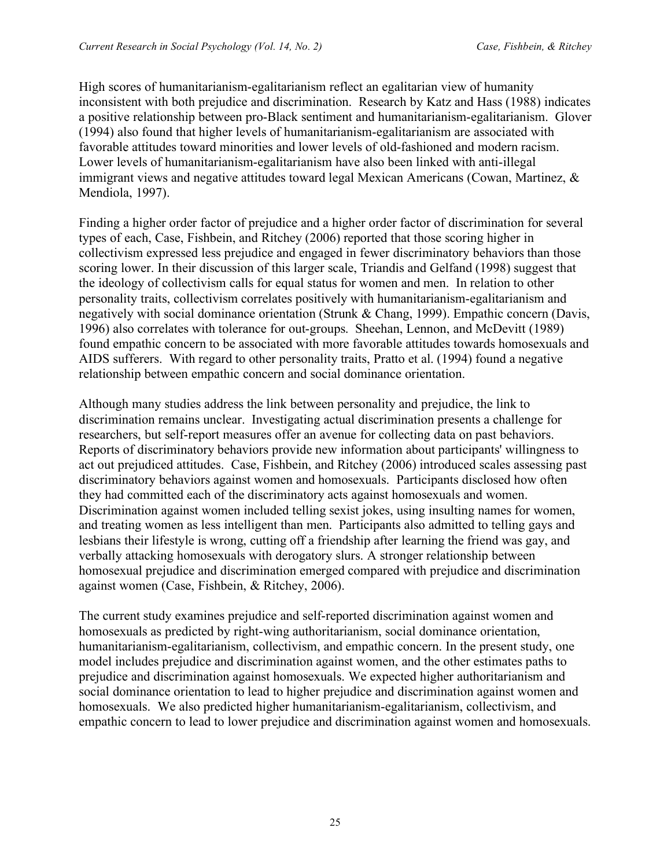High scores of humanitarianism-egalitarianism reflect an egalitarian view of humanity inconsistent with both prejudice and discrimination. Research by Katz and Hass (1988) indicates a positive relationship between pro-Black sentiment and humanitarianism-egalitarianism. Glover (1994) also found that higher levels of humanitarianism-egalitarianism are associated with favorable attitudes toward minorities and lower levels of old-fashioned and modern racism. Lower levels of humanitarianism-egalitarianism have also been linked with anti-illegal immigrant views and negative attitudes toward legal Mexican Americans (Cowan, Martinez, & Mendiola, 1997).

Finding a higher order factor of prejudice and a higher order factor of discrimination for several types of each, Case, Fishbein, and Ritchey (2006) reported that those scoring higher in collectivism expressed less prejudice and engaged in fewer discriminatory behaviors than those scoring lower. In their discussion of this larger scale, Triandis and Gelfand (1998) suggest that the ideology of collectivism calls for equal status for women and men. In relation to other personality traits, collectivism correlates positively with humanitarianism-egalitarianism and negatively with social dominance orientation (Strunk & Chang, 1999). Empathic concern (Davis, 1996) also correlates with tolerance for out-groups. Sheehan, Lennon, and McDevitt (1989) found empathic concern to be associated with more favorable attitudes towards homosexuals and AIDS sufferers. With regard to other personality traits, Pratto et al. (1994) found a negative relationship between empathic concern and social dominance orientation.

Although many studies address the link between personality and prejudice, the link to discrimination remains unclear. Investigating actual discrimination presents a challenge for researchers, but self-report measures offer an avenue for collecting data on past behaviors. Reports of discriminatory behaviors provide new information about participants' willingness to act out prejudiced attitudes. Case, Fishbein, and Ritchey (2006) introduced scales assessing past discriminatory behaviors against women and homosexuals. Participants disclosed how often they had committed each of the discriminatory acts against homosexuals and women. Discrimination against women included telling sexist jokes, using insulting names for women, and treating women as less intelligent than men. Participants also admitted to telling gays and lesbians their lifestyle is wrong, cutting off a friendship after learning the friend was gay, and verbally attacking homosexuals with derogatory slurs. A stronger relationship between homosexual prejudice and discrimination emerged compared with prejudice and discrimination against women (Case, Fishbein, & Ritchey, 2006).

The current study examines prejudice and self-reported discrimination against women and homosexuals as predicted by right-wing authoritarianism, social dominance orientation, humanitarianism-egalitarianism, collectivism, and empathic concern. In the present study, one model includes prejudice and discrimination against women, and the other estimates paths to prejudice and discrimination against homosexuals. We expected higher authoritarianism and social dominance orientation to lead to higher prejudice and discrimination against women and homosexuals. We also predicted higher humanitarianism-egalitarianism, collectivism, and empathic concern to lead to lower prejudice and discrimination against women and homosexuals.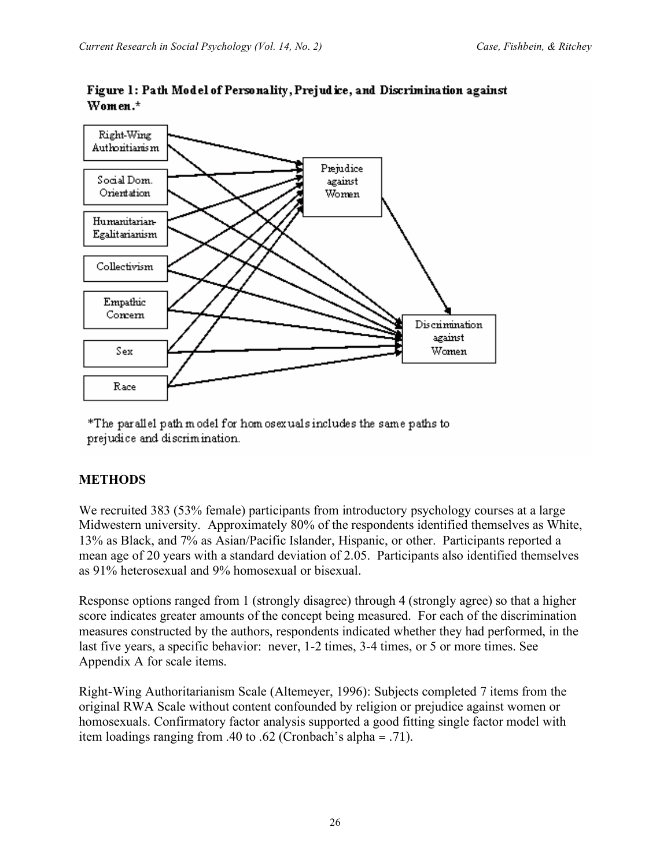

Figure 1: Path Model of Personality, Prejudice, and Discrimination against Women.\*

\*The parallel path model for homosexuals includes the same paths to prejudice and discrimination.

### **METHODS**

We recruited 383 (53% female) participants from introductory psychology courses at a large Midwestern university. Approximately 80% of the respondents identified themselves as White, 13% as Black, and 7% as Asian/Pacific Islander, Hispanic, or other. Participants reported a mean age of 20 years with a standard deviation of 2.05. Participants also identified themselves as 91% heterosexual and 9% homosexual or bisexual.

Response options ranged from 1 (strongly disagree) through 4 (strongly agree) so that a higher score indicates greater amounts of the concept being measured. For each of the discrimination measures constructed by the authors, respondents indicated whether they had performed, in the last five years, a specific behavior: never, 1-2 times, 3-4 times, or 5 or more times. See Appendix A for scale items.

Right-Wing Authoritarianism Scale (Altemeyer, 1996): Subjects completed 7 items from the original RWA Scale without content confounded by religion or prejudice against women or homosexuals. Confirmatory factor analysis supported a good fitting single factor model with item loadings ranging from .40 to .62 (Cronbach's alpha = .71).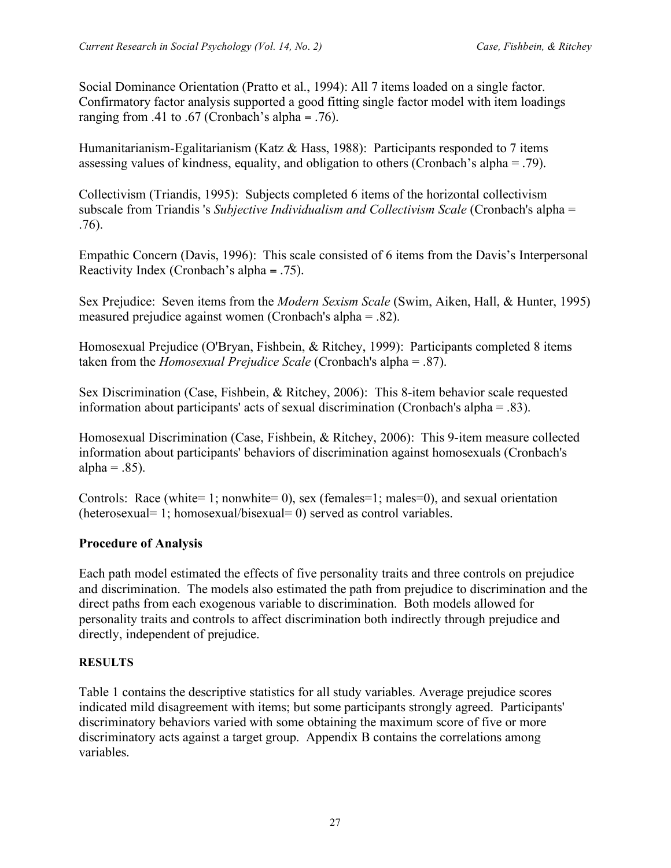Social Dominance Orientation (Pratto et al., 1994): All 7 items loaded on a single factor. Confirmatory factor analysis supported a good fitting single factor model with item loadings ranging from .41 to .67 (Cronbach's alpha = .76).

Humanitarianism-Egalitarianism (Katz & Hass, 1988): Participants responded to 7 items assessing values of kindness, equality, and obligation to others (Cronbach's alpha = .79).

Collectivism (Triandis, 1995): Subjects completed 6 items of the horizontal collectivism subscale from Triandis 's *Subjective Individualism and Collectivism Scale* (Cronbach's alpha = .76).

Empathic Concern (Davis, 1996): This scale consisted of 6 items from the Davis's Interpersonal Reactivity Index (Cronbach's alpha = .75).

Sex Prejudice: Seven items from the *Modern Sexism Scale* (Swim, Aiken, Hall, & Hunter, 1995) measured prejudice against women (Cronbach's alpha = .82).

Homosexual Prejudice (O'Bryan, Fishbein, & Ritchey, 1999): Participants completed 8 items taken from the *Homosexual Prejudice Scale* (Cronbach's alpha = .87).

Sex Discrimination (Case, Fishbein, & Ritchey, 2006): This 8-item behavior scale requested information about participants' acts of sexual discrimination (Cronbach's alpha = .83).

Homosexual Discrimination (Case, Fishbein, & Ritchey, 2006): This 9-item measure collected information about participants' behaviors of discrimination against homosexuals (Cronbach's alpha =  $.85$ ).

Controls: Race (white= 1; nonwhite= 0), sex (females=1; males=0), and sexual orientation (heterosexual= 1; homosexual/bisexual= 0) served as control variables.

# **Procedure of Analysis**

Each path model estimated the effects of five personality traits and three controls on prejudice and discrimination. The models also estimated the path from prejudice to discrimination and the direct paths from each exogenous variable to discrimination. Both models allowed for personality traits and controls to affect discrimination both indirectly through prejudice and directly, independent of prejudice.

### **RESULTS**

Table 1 contains the descriptive statistics for all study variables. Average prejudice scores indicated mild disagreement with items; but some participants strongly agreed. Participants' discriminatory behaviors varied with some obtaining the maximum score of five or more discriminatory acts against a target group. Appendix B contains the correlations among variables.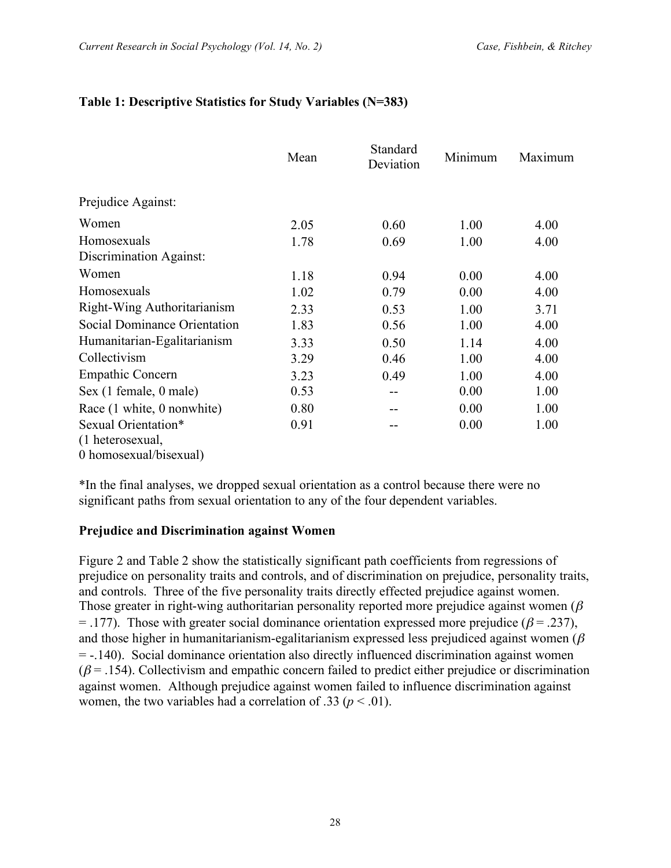### **Table 1: Descriptive Statistics for Study Variables (N=383)**

|                              | Mean | Standard<br>Deviation | Minimum | Maximum |
|------------------------------|------|-----------------------|---------|---------|
| Prejudice Against:           |      |                       |         |         |
| Women                        | 2.05 | 0.60                  | 1.00    | 4.00    |
| Homosexuals                  | 1.78 | 0.69                  | 1.00    | 4.00    |
| Discrimination Against:      |      |                       |         |         |
| Women                        | 1.18 | 0.94                  | 0.00    | 4.00    |
| Homosexuals                  | 1.02 | 0.79                  | 0.00    | 4.00    |
| Right-Wing Authoritarianism  | 2.33 | 0.53                  | 1.00    | 3.71    |
| Social Dominance Orientation | 1.83 | 0.56                  | 1.00    | 4.00    |
| Humanitarian-Egalitarianism  | 3.33 | 0.50                  | 1.14    | 4.00    |
| Collectivism                 | 3.29 | 0.46                  | 1.00    | 4.00    |
| <b>Empathic Concern</b>      | 3.23 | 0.49                  | 1.00    | 4.00    |
| Sex (1 female, 0 male)       | 0.53 |                       | 0.00    | 1.00    |
| Race (1 white, 0 nonwhite)   | 0.80 |                       | 0.00    | 1.00    |
| Sexual Orientation*          | 0.91 |                       | 0.00    | 1.00    |
| (1 heterosexual,             |      |                       |         |         |
| 0 homosexual/bisexual)       |      |                       |         |         |

\*In the final analyses, we dropped sexual orientation as a control because there were no significant paths from sexual orientation to any of the four dependent variables.

### **Prejudice and Discrimination against Women**

Figure 2 and Table 2 show the statistically significant path coefficients from regressions of prejudice on personality traits and controls, and of discrimination on prejudice, personality traits, and controls. Three of the five personality traits directly effected prejudice against women. Those greater in right-wing authoritarian personality reported more prejudice against women ( $\beta$ ) = .177). Those with greater social dominance orientation expressed more prejudice ( $\beta$  = .237), and those higher in humanitarianism-egalitarianism expressed less prejudiced against women ( $\beta$ ) = -.140). Social dominance orientation also directly influenced discrimination against women  $(\beta = .154)$ . Collectivism and empathic concern failed to predict either prejudice or discrimination against women. Although prejudice against women failed to influence discrimination against women, the two variables had a correlation of .33 ( $p < .01$ ).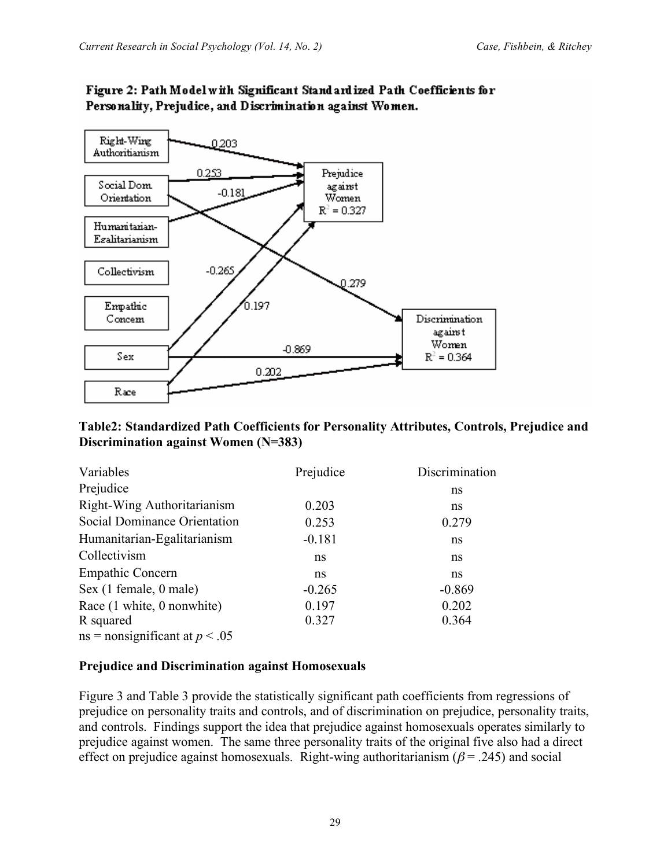

# Figure 2: Path Model with Significant Standard ized Path Coefficients for Personality, Prejudice, and Discrimination against Women.

### **Table2: Standardized Path Coefficients for Personality Attributes, Controls, Prejudice and Discrimination against Women (N=383)**

| Variables                        | Prejudice | Discrimination |
|----------------------------------|-----------|----------------|
| Prejudice                        |           | ns             |
| Right-Wing Authoritarianism      | 0.203     | ns             |
| Social Dominance Orientation     | 0.253     | 0.279          |
| Humanitarian-Egalitarianism      | $-0.181$  | ns             |
| Collectivism                     | ns        | ns             |
| <b>Empathic Concern</b>          | ns.       | ns             |
| Sex (1 female, 0 male)           | $-0.265$  | $-0.869$       |
| Race (1 white, 0 nonwhite)       | 0.197     | 0.202          |
| R squared                        | 0.327     | 0.364          |
| $ns = nonsignificant at p < .05$ |           |                |

### **Prejudice and Discrimination against Homosexuals**

Figure 3 and Table 3 provide the statistically significant path coefficients from regressions of prejudice on personality traits and controls, and of discrimination on prejudice, personality traits, and controls. Findings support the idea that prejudice against homosexuals operates similarly to prejudice against women. The same three personality traits of the original five also had a direct effect on prejudice against homosexuals. Right-wing authoritarianism ( $\beta$  = .245) and social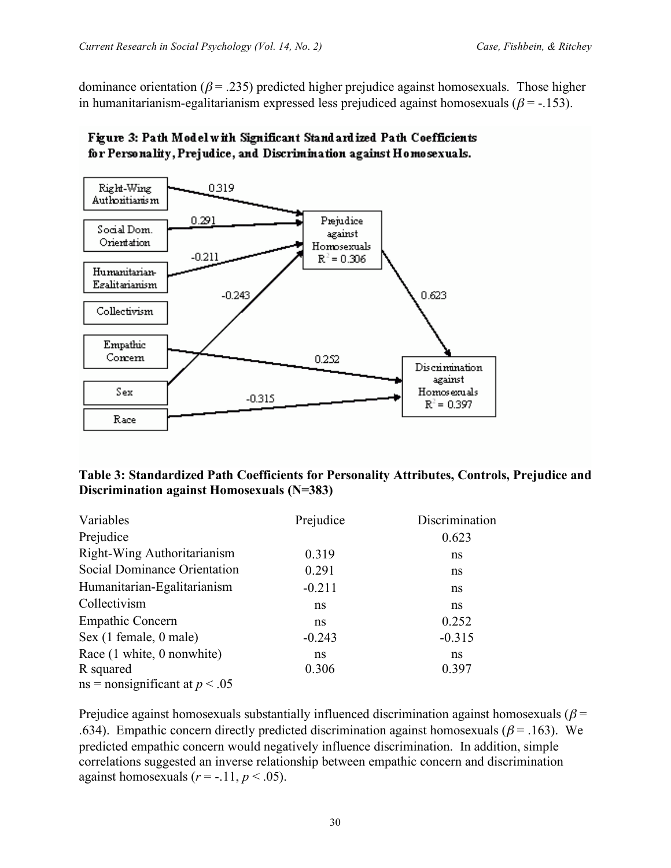dominance orientation ( $\beta$  = .235) predicted higher prejudice against homosexuals. Those higher in humanitarianism-egalitarianism expressed less prejudiced against homosexuals ( $\beta$  = -.153).



# Figure 3: Path Model with Significant Standardized Path Coefficients for Personality, Prejudice, and Discrimination against Homosexuals.

| Table 3: Standardized Path Coefficients for Personality Attributes, Controls, Prejudice and |  |
|---------------------------------------------------------------------------------------------|--|
| Discrimination against Homosexuals (N=383)                                                  |  |

| Variables                          | Prejudice | Discrimination |
|------------------------------------|-----------|----------------|
| Prejudice                          |           | 0.623          |
| Right-Wing Authoritarianism        | 0.319     | ns             |
| Social Dominance Orientation       | 0.291     | ns             |
| Humanitarian-Egalitarianism        | $-0.211$  | ns             |
| Collectivism                       | ns        | ns             |
| <b>Empathic Concern</b>            | ns        | 0.252          |
| Sex (1 female, 0 male)             | $-0.243$  | $-0.315$       |
| Race (1 white, 0 nonwhite)         | ns        | ns             |
| R squared                          | 0.306     | 0.397          |
| $ns = nonsignificant$ at $p < .05$ |           |                |

Prejudice against homosexuals substantially influenced discrimination against homosexuals ( $\beta$  = .634). Empathic concern directly predicted discrimination against homosexuals ( $\beta$  = .163). We predicted empathic concern would negatively influence discrimination. In addition, simple correlations suggested an inverse relationship between empathic concern and discrimination against homosexuals  $(r = -.11, p < .05)$ .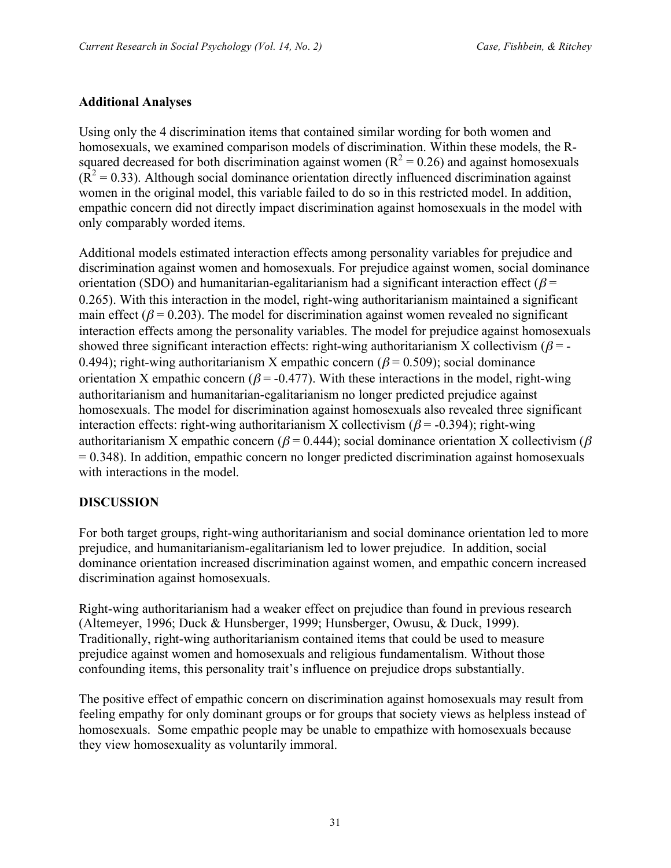### **Additional Analyses**

Using only the 4 discrimination items that contained similar wording for both women and homosexuals, we examined comparison models of discrimination. Within these models, the Rsquared decreased for both discrimination against women ( $R^2 = 0.26$ ) and against homosexuals  $(\overline{R}^2 = 0.33)$ . Although social dominance orientation directly influenced discrimination against women in the original model, this variable failed to do so in this restricted model. In addition, empathic concern did not directly impact discrimination against homosexuals in the model with only comparably worded items.

Additional models estimated interaction effects among personality variables for prejudice and discrimination against women and homosexuals. For prejudice against women, social dominance orientation (SDO) and humanitarian-egalitarianism had a significant interaction effect ( $\beta$  = 0.265). With this interaction in the model, right-wing authoritarianism maintained a significant main effect ( $\beta$  = 0.203). The model for discrimination against women revealed no significant interaction effects among the personality variables. The model for prejudice against homosexuals showed three significant interaction effects: right-wing authoritarianism X collectivism ( $\beta$ =-0.494); right-wing authoritarianism X empathic concern ( $\beta$  = 0.509); social dominance orientation X empathic concern ( $\beta$  = -0.477). With these interactions in the model, right-wing authoritarianism and humanitarian-egalitarianism no longer predicted prejudice against homosexuals. The model for discrimination against homosexuals also revealed three significant interaction effects: right-wing authoritarianism X collectivism ( $\beta$  = -0.394); right-wing authoritarianism X empathic concern ( $\beta$  = 0.444); social dominance orientation X collectivism ( $\beta$ )  $= 0.348$ ). In addition, empathic concern no longer predicted discrimination against homosexuals with interactions in the model.

### **DISCUSSION**

For both target groups, right-wing authoritarianism and social dominance orientation led to more prejudice, and humanitarianism-egalitarianism led to lower prejudice. In addition, social dominance orientation increased discrimination against women, and empathic concern increased discrimination against homosexuals.

Right-wing authoritarianism had a weaker effect on prejudice than found in previous research (Altemeyer, 1996; Duck & Hunsberger, 1999; Hunsberger, Owusu, & Duck, 1999). Traditionally, right-wing authoritarianism contained items that could be used to measure prejudice against women and homosexuals and religious fundamentalism. Without those confounding items, this personality trait's influence on prejudice drops substantially.

The positive effect of empathic concern on discrimination against homosexuals may result from feeling empathy for only dominant groups or for groups that society views as helpless instead of homosexuals. Some empathic people may be unable to empathize with homosexuals because they view homosexuality as voluntarily immoral.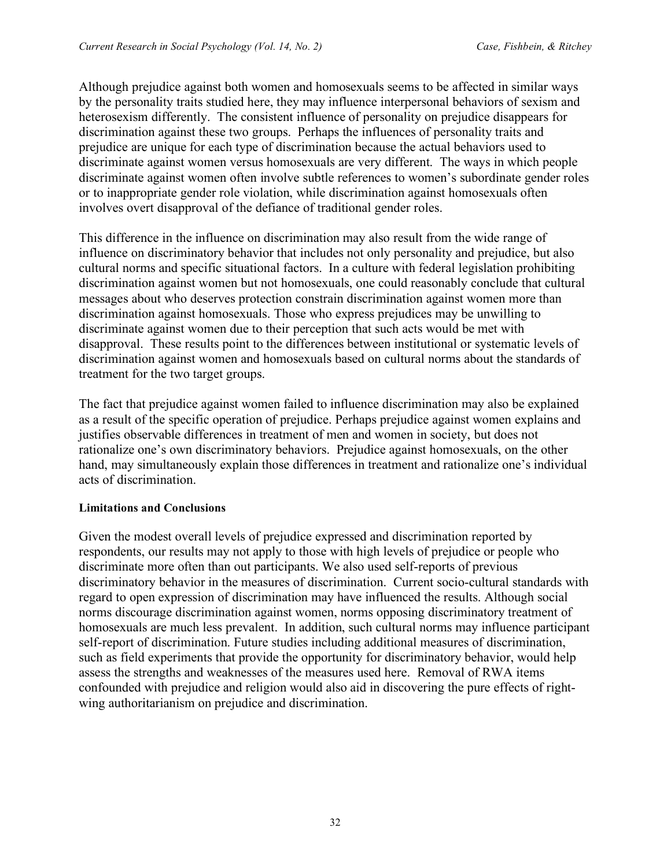Although prejudice against both women and homosexuals seems to be affected in similar ways by the personality traits studied here, they may influence interpersonal behaviors of sexism and heterosexism differently. The consistent influence of personality on prejudice disappears for discrimination against these two groups. Perhaps the influences of personality traits and prejudice are unique for each type of discrimination because the actual behaviors used to discriminate against women versus homosexuals are very different. The ways in which people discriminate against women often involve subtle references to women's subordinate gender roles or to inappropriate gender role violation, while discrimination against homosexuals often involves overt disapproval of the defiance of traditional gender roles.

This difference in the influence on discrimination may also result from the wide range of influence on discriminatory behavior that includes not only personality and prejudice, but also cultural norms and specific situational factors. In a culture with federal legislation prohibiting discrimination against women but not homosexuals, one could reasonably conclude that cultural messages about who deserves protection constrain discrimination against women more than discrimination against homosexuals. Those who express prejudices may be unwilling to discriminate against women due to their perception that such acts would be met with disapproval. These results point to the differences between institutional or systematic levels of discrimination against women and homosexuals based on cultural norms about the standards of treatment for the two target groups.

The fact that prejudice against women failed to influence discrimination may also be explained as a result of the specific operation of prejudice. Perhaps prejudice against women explains and justifies observable differences in treatment of men and women in society, but does not rationalize one's own discriminatory behaviors. Prejudice against homosexuals, on the other hand, may simultaneously explain those differences in treatment and rationalize one's individual acts of discrimination.

#### **Limitations and Conclusions**

Given the modest overall levels of prejudice expressed and discrimination reported by respondents, our results may not apply to those with high levels of prejudice or people who discriminate more often than out participants. We also used self-reports of previous discriminatory behavior in the measures of discrimination. Current socio-cultural standards with regard to open expression of discrimination may have influenced the results. Although social norms discourage discrimination against women, norms opposing discriminatory treatment of homosexuals are much less prevalent. In addition, such cultural norms may influence participant self-report of discrimination. Future studies including additional measures of discrimination, such as field experiments that provide the opportunity for discriminatory behavior, would help assess the strengths and weaknesses of the measures used here. Removal of RWA items confounded with prejudice and religion would also aid in discovering the pure effects of rightwing authoritarianism on prejudice and discrimination.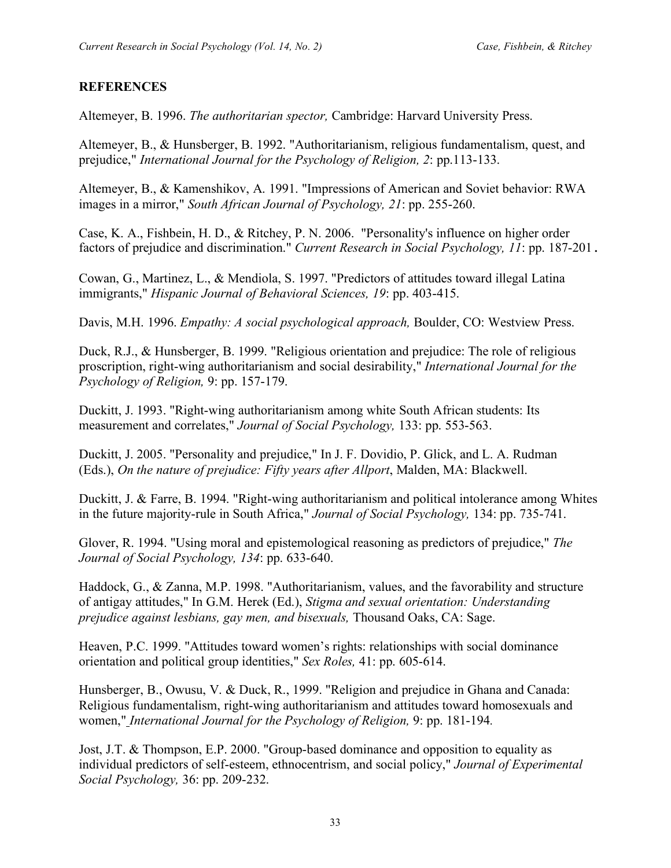### **REFERENCES**

Altemeyer, B. 1996. *The authoritarian spector,* Cambridge: Harvard University Press.

Altemeyer, B., & Hunsberger, B. 1992. "Authoritarianism, religious fundamentalism, quest, and prejudice," *International Journal for the Psychology of Religion, 2*: pp.113-133.

Altemeyer, B., & Kamenshikov, A. 1991. "Impressions of American and Soviet behavior: RWA images in a mirror," *South African Journal of Psychology, 21*: pp. 255-260.

Case, K. A., Fishbein, H. D., & Ritchey, P. N. 2006. "Personality's influence on higher order factors of prejudice and discrimination." *Current Research in Social Psychology, 11*: pp. 187-201.

Cowan, G., Martinez, L., & Mendiola, S. 1997. "Predictors of attitudes toward illegal Latina immigrants," *Hispanic Journal of Behavioral Sciences, 19*: pp. 403-415.

Davis, M.H. 1996. *Empathy: A social psychological approach,* Boulder, CO: Westview Press.

Duck, R.J., & Hunsberger, B. 1999. "Religious orientation and prejudice: The role of religious proscription, right-wing authoritarianism and social desirability," *International Journal for the Psychology of Religion,* 9: pp. 157-179.

Duckitt, J. 1993. "Right-wing authoritarianism among white South African students: Its measurement and correlates," *Journal of Social Psychology,* 133: pp. 553-563.

Duckitt, J. 2005. "Personality and prejudice," In J. F. Dovidio, P. Glick, and L. A. Rudman (Eds.), *On the nature of prejudice: Fifty years after Allport*, Malden, MA: Blackwell.

Duckitt, J. & Farre, B. 1994. "Right-wing authoritarianism and political intolerance among Whites in the future majority-rule in South Africa," *Journal of Social Psychology,* 134: pp. 735-741.

Glover, R. 1994. "Using moral and epistemological reasoning as predictors of prejudice," *The Journal of Social Psychology, 134*: pp. 633-640.

Haddock, G., & Zanna, M.P. 1998. "Authoritarianism, values, and the favorability and structure of antigay attitudes," In G.M. Herek (Ed.), *Stigma and sexual orientation: Understanding prejudice against lesbians, gay men, and bisexuals,* Thousand Oaks, CA: Sage.

Heaven, P.C. 1999. "Attitudes toward women's rights: relationships with social dominance orientation and political group identities," *Sex Roles,* 41: pp. 605-614.

Hunsberger, B., Owusu, V. & Duck, R., 1999. "Religion and prejudice in Ghana and Canada: Religious fundamentalism, right-wing authoritarianism and attitudes toward homosexuals and women," *International Journal for the Psychology of Religion,* 9: pp. 181-194*.*

Jost, J.T. & Thompson, E.P. 2000. "Group-based dominance and opposition to equality as individual predictors of self-esteem, ethnocentrism, and social policy," *Journal of Experimental Social Psychology,* 36: pp. 209-232.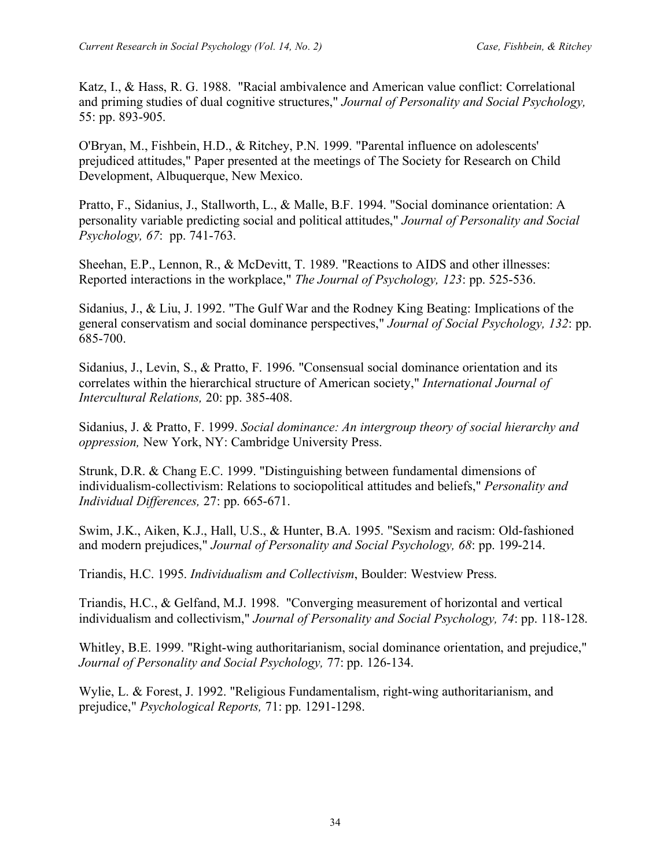Katz, I., & Hass, R. G. 1988. "Racial ambivalence and American value conflict: Correlational and priming studies of dual cognitive structures," *Journal of Personality and Social Psychology,* 55: pp. 893-905.

O'Bryan, M., Fishbein, H.D., & Ritchey, P.N. 1999. "Parental influence on adolescents' prejudiced attitudes," Paper presented at the meetings of The Society for Research on Child Development, Albuquerque, New Mexico.

Pratto, F., Sidanius, J., Stallworth, L., & Malle, B.F. 1994. "Social dominance orientation: A personality variable predicting social and political attitudes," *Journal of Personality and Social Psychology, 67*: pp. 741-763.

Sheehan, E.P., Lennon, R., & McDevitt, T. 1989. "Reactions to AIDS and other illnesses: Reported interactions in the workplace," *The Journal of Psychology, 123*: pp. 525-536.

Sidanius, J., & Liu, J. 1992. "The Gulf War and the Rodney King Beating: Implications of the general conservatism and social dominance perspectives," *Journal of Social Psychology, 132*: pp. 685-700.

Sidanius, J., Levin, S., & Pratto, F. 1996. "Consensual social dominance orientation and its correlates within the hierarchical structure of American society," *International Journal of Intercultural Relations,* 20: pp. 385-408.

Sidanius, J. & Pratto, F. 1999. *Social dominance: An intergroup theory of social hierarchy and oppression,* New York, NY: Cambridge University Press.

Strunk, D.R. & Chang E.C. 1999. "Distinguishing between fundamental dimensions of individualism-collectivism: Relations to sociopolitical attitudes and beliefs," *Personality and Individual Differences,* 27: pp. 665-671.

Swim, J.K., Aiken, K.J., Hall, U.S., & Hunter, B.A. 1995. "Sexism and racism: Old-fashioned and modern prejudices," *Journal of Personality and Social Psychology, 68*: pp. 199-214.

Triandis, H.C. 1995. *Individualism and Collectivism*, Boulder: Westview Press.

Triandis, H.C., & Gelfand, M.J. 1998. "Converging measurement of horizontal and vertical individualism and collectivism," *Journal of Personality and Social Psychology, 74*: pp. 118-128.

Whitley, B.E. 1999. "Right-wing authoritarianism, social dominance orientation, and prejudice," *Journal of Personality and Social Psychology,* 77: pp. 126-134.

Wylie, L. & Forest, J. 1992. "Religious Fundamentalism, right-wing authoritarianism, and prejudice," *Psychological Reports,* 71: pp. 1291-1298.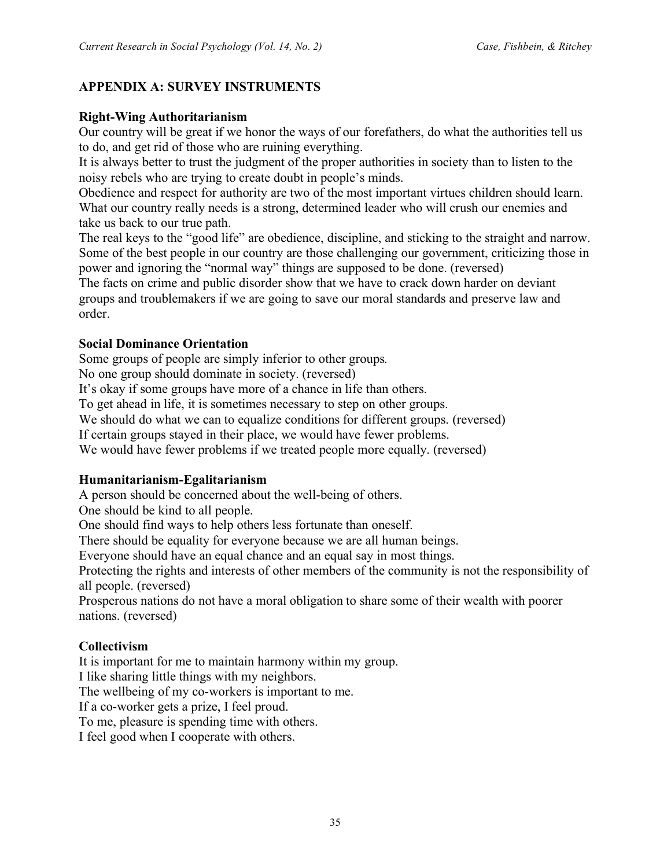# **APPENDIX A: SURVEY INSTRUMENTS**

### **Right-Wing Authoritarianism**

Our country will be great if we honor the ways of our forefathers, do what the authorities tell us to do, and get rid of those who are ruining everything.

It is always better to trust the judgment of the proper authorities in society than to listen to the noisy rebels who are trying to create doubt in people's minds.

Obedience and respect for authority are two of the most important virtues children should learn. What our country really needs is a strong, determined leader who will crush our enemies and take us back to our true path.

The real keys to the "good life" are obedience, discipline, and sticking to the straight and narrow. Some of the best people in our country are those challenging our government, criticizing those in power and ignoring the "normal way" things are supposed to be done. (reversed)

The facts on crime and public disorder show that we have to crack down harder on deviant groups and troublemakers if we are going to save our moral standards and preserve law and order.

### **Social Dominance Orientation**

Some groups of people are simply inferior to other groups*.* No one group should dominate in society. (reversed) It's okay if some groups have more of a chance in life than others. To get ahead in life, it is sometimes necessary to step on other groups. We should do what we can to equalize conditions for different groups. (reversed) If certain groups stayed in their place, we would have fewer problems. We would have fewer problems if we treated people more equally. (reversed)

### **Humanitarianism-Egalitarianism**

A person should be concerned about the well-being of others.

One should be kind to all people.

One should find ways to help others less fortunate than oneself.

There should be equality for everyone because we are all human beings.

Everyone should have an equal chance and an equal say in most things.

Protecting the rights and interests of other members of the community is not the responsibility of all people. (reversed)

Prosperous nations do not have a moral obligation to share some of their wealth with poorer nations. (reversed)

# **Collectivism**

It is important for me to maintain harmony within my group.

I like sharing little things with my neighbors.

The wellbeing of my co-workers is important to me.

If a co-worker gets a prize, I feel proud.

To me, pleasure is spending time with others.

I feel good when I cooperate with others.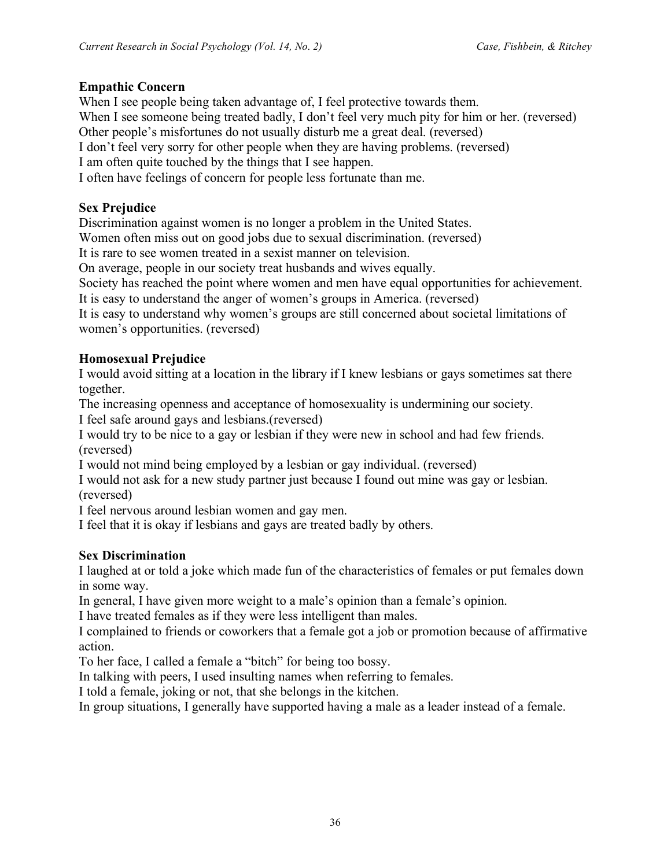### **Empathic Concern**

When I see people being taken advantage of, I feel protective towards them. When I see someone being treated badly, I don't feel very much pity for him or her. (reversed) Other people's misfortunes do not usually disturb me a great deal. (reversed) I don't feel very sorry for other people when they are having problems. (reversed) I am often quite touched by the things that I see happen. I often have feelings of concern for people less fortunate than me.

### **Sex Prejudice**

Discrimination against women is no longer a problem in the United States.

Women often miss out on good jobs due to sexual discrimination. (reversed)

It is rare to see women treated in a sexist manner on television.

On average, people in our society treat husbands and wives equally.

Society has reached the point where women and men have equal opportunities for achievement.

It is easy to understand the anger of women's groups in America. (reversed)

It is easy to understand why women's groups are still concerned about societal limitations of women's opportunities. (reversed)

### **Homosexual Prejudice**

I would avoid sitting at a location in the library if I knew lesbians or gays sometimes sat there together.

The increasing openness and acceptance of homosexuality is undermining our society.

I feel safe around gays and lesbians.(reversed)

I would try to be nice to a gay or lesbian if they were new in school and had few friends. (reversed)

I would not mind being employed by a lesbian or gay individual. (reversed)

I would not ask for a new study partner just because I found out mine was gay or lesbian. (reversed)

I feel nervous around lesbian women and gay men.

I feel that it is okay if lesbians and gays are treated badly by others.

### **Sex Discrimination**

I laughed at or told a joke which made fun of the characteristics of females or put females down in some way.

In general, I have given more weight to a male's opinion than a female's opinion.

I have treated females as if they were less intelligent than males.

I complained to friends or coworkers that a female got a job or promotion because of affirmative action.

To her face, I called a female a "bitch" for being too bossy.

In talking with peers, I used insulting names when referring to females.

I told a female, joking or not, that she belongs in the kitchen.

In group situations, I generally have supported having a male as a leader instead of a female.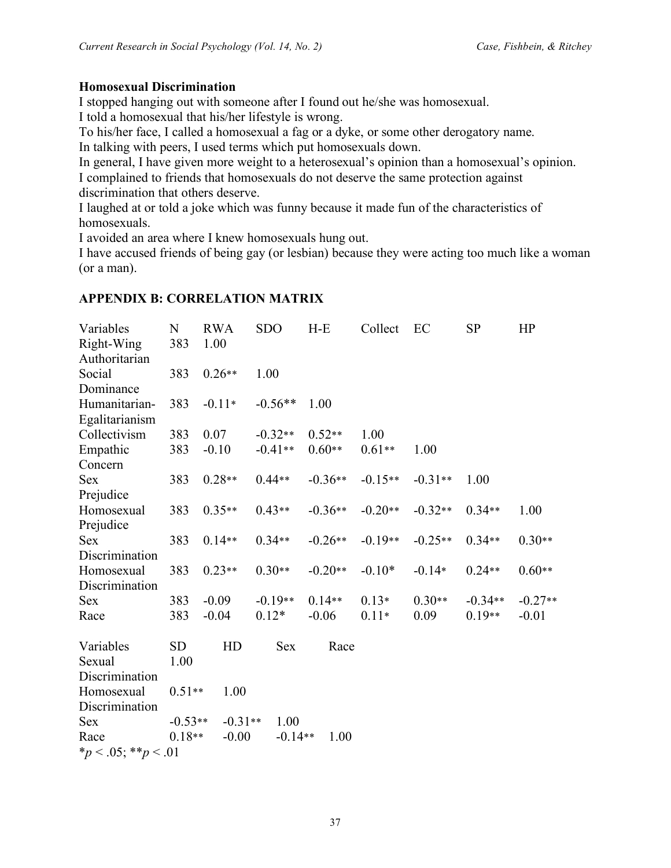### **Homosexual Discrimination**

I stopped hanging out with someone after I found out he/she was homosexual.

I told a homosexual that his/her lifestyle is wrong.

To his/her face, I called a homosexual a fag or a dyke, or some other derogatory name.

In talking with peers, I used terms which put homosexuals down.

In general, I have given more weight to a heterosexual's opinion than a homosexual's opinion. I complained to friends that homosexuals do not deserve the same protection against discrimination that others deserve.

I laughed at or told a joke which was funny because it made fun of the characteristics of homosexuals.

I avoided an area where I knew homosexuals hung out.

I have accused friends of being gay (or lesbian) because they were acting too much like a woman (or a man).

#### **APPENDIX B: CORRELATION MATRIX**

| Variables                  | N         | <b>RWA</b> | <b>SDO</b> | $H-E$     | Collect   | EC        | <b>SP</b> | HP        |
|----------------------------|-----------|------------|------------|-----------|-----------|-----------|-----------|-----------|
| Right-Wing                 | 383       | 1.00       |            |           |           |           |           |           |
| Authoritarian              |           |            |            |           |           |           |           |           |
| Social                     | 383       | $0.26**$   | 1.00       |           |           |           |           |           |
| Dominance                  |           |            |            |           |           |           |           |           |
| Humanitarian-              | 383       | $-0.11*$   | $-0.56**$  | 1.00      |           |           |           |           |
| Egalitarianism             |           |            |            |           |           |           |           |           |
| Collectivism               | 383       | 0.07       | $-0.32**$  | $0.52**$  | 1.00      |           |           |           |
| Empathic                   | 383       | $-0.10$    | $-0.41**$  | $0.60**$  | $0.61**$  | 1.00      |           |           |
| Concern                    |           |            |            |           |           |           |           |           |
| <b>Sex</b>                 | 383       | $0.28**$   | $0.44**$   | $-0.36**$ | $-0.15**$ | $-0.31**$ | 1.00      |           |
| Prejudice                  |           |            |            |           |           |           |           |           |
| Homosexual                 | 383       | $0.35**$   | $0.43**$   | $-0.36**$ | $-0.20**$ | $-0.32**$ | $0.34**$  | 1.00      |
| Prejudice                  |           |            |            |           |           |           |           |           |
| <b>Sex</b>                 | 383       | $0.14**$   | $0.34**$   | $-0.26**$ | $-0.19**$ | $-0.25**$ | $0.34**$  | $0.30**$  |
| Discrimination             |           |            |            |           |           |           |           |           |
| Homosexual                 | 383       | $0.23**$   | $0.30**$   | $-0.20**$ | $-0.10*$  | $-0.14*$  | $0.24**$  | $0.60**$  |
| Discrimination             |           |            |            |           |           |           |           |           |
| <b>Sex</b>                 | 383       | $-0.09$    | $-0.19**$  | $0.14**$  | $0.13*$   | $0.30**$  | $-0.34**$ | $-0.27**$ |
| Race                       | 383       | $-0.04$    | $0.12*$    | $-0.06$   | $0.11*$   | 0.09      | $0.19**$  | $-0.01$   |
| Variables                  | <b>SD</b> | HD         | <b>Sex</b> | Race      |           |           |           |           |
| Sexual                     | 1.00      |            |            |           |           |           |           |           |
| Discrimination             |           |            |            |           |           |           |           |           |
| Homosexual                 | $0.51**$  | 1.00       |            |           |           |           |           |           |
| Discrimination             |           |            |            |           |           |           |           |           |
| <b>Sex</b>                 | $-0.53**$ | $-0.31**$  | 1.00       |           |           |           |           |           |
| Race                       | $0.18**$  | $-0.00$    | $-0.14**$  | 1.00      |           |           |           |           |
| * $p < .05$ ; ** $p < .01$ |           |            |            |           |           |           |           |           |